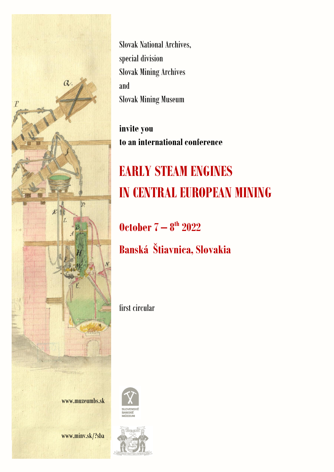

Slovak National Archives, special division Slovak Mining Archives and Slovak Mining Museum

**invite you to an international conference**

## **EARLY STEAM ENGINES IN CENTRAL EUROPEAN MINING**

**October 7 – 8 th 2022**

**Banská Štiavnica, Slovakia**

first circular





www.minv.sk/?sba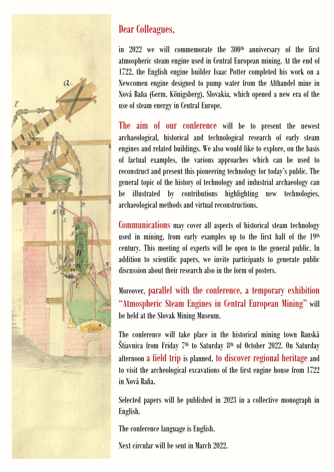

## Dear Colleagues,

in 2022 we will commemorate the 300<sup>th</sup> anniversary of the first atmospheric steam engine used in Central European mining. At the end of 1722, the English engine builder Isaac Potter completed his work on a Newcomen engine designed to pump water from the Althandel mine in Nová Bana (Germ. Königsberg), Slovakia, which opened a new era of the use of steam energy in Central Europe.

The aim of our conference will be to present the newest archaeological, historical and technological research of early steam engines and related buildings. We also would like to explore, on the basis of factual examples, the various approaches which can be used to reconstruct and present this pioneering technology for today's public. The general topic of the history of technology and industrial archaeology can be illustrated by contributions highlighting new technologies, archaeological methods and virtual reconstructions.

Communications may cover all aspects of historical steam technology used in mining, from early examples up to the first half of the 19th century. This meeting of experts will be open to the general public. In addition to scientific papers, we invite participants to generate public discussion about their research also in the form of posters.

Moreover, parallel with the conference, a temporary exhibition "Atmospheric Steam Engines in Central European Mining" will be held at the Slovak Mining Museum.

The conference will take place in the historical mining town Banská Štiavnica from Friday 7<sup>th</sup> to Saturday 8<sup>th</sup> of October 2022. On Saturday afternoon a field trip is planned, to discover regional heritage and to visit the archeological excavations of the first engine house from 1722 in Nová Baňa.

Selected papers will be published in 2023 in a collective monograph in English.

The conference language is English.

Next circular will be sent in March 2022.